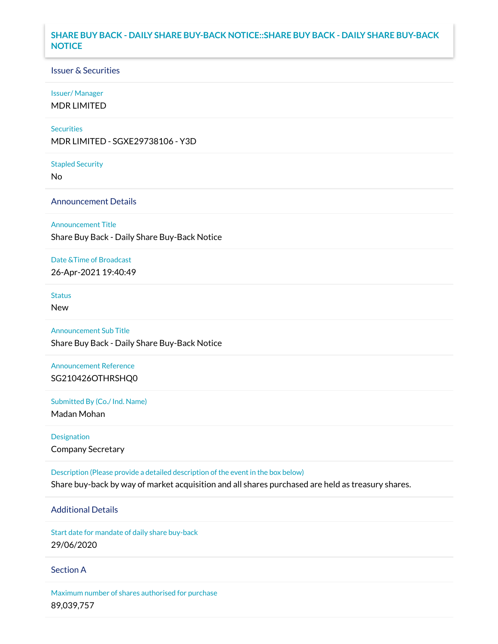### **SHARE BUY BACK - DAILY SHARE BUY-BACK NOTICE::SHARE BUY BACK - DAILY SHARE BUY-BACK NOTICE**

### Issuer & Securities

#### Issuer/ Manager

MDR LIMITED

#### **Securities**

MDR LIMITED - SGXE29738106 - Y3D

#### Stapled Security

No

### Announcement Details

#### Announcement Title

Share Buy Back - Daily Share Buy-Back Notice

#### Date &Time of Broadcast

26-Apr-2021 19:40:49

# **Status**

New

# Announcement Sub Title

Share Buy Back - Daily Share Buy-Back Notice

## Announcement Reference SG210426OTHRSHQ0

Submitted By (Co./ Ind. Name)

Madan Mohan

Designation Company Secretary

Description (Please provide a detailed description of the event in the box below) Share buy-back by way of market acquisition and all shares purchased are held as treasury shares.

# Additional Details

Start date for mandate of daily share buy-back 29/06/2020

### Section A

Maximum number of shares authorised for purchase 89,039,757